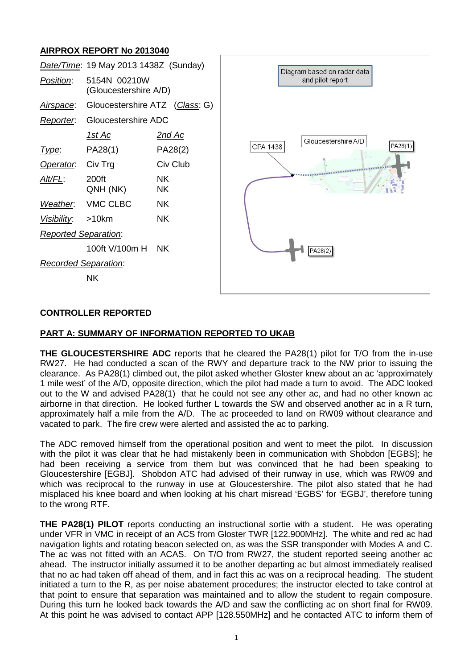# **AIRPROX REPORT No 2013040**

|                             | Date/Time: 19 May 2013 1438Z (Sunday) |                 | Diagram based on radar data<br>and pilot report |
|-----------------------------|---------------------------------------|-----------------|-------------------------------------------------|
| Position:                   | 5154N 00210W<br>(Gloucestershire A/D) |                 |                                                 |
| Airspace:                   | Gloucestershire ATZ (Class: G)        |                 |                                                 |
| Reporter.                   | Gloucestershire ADC                   |                 |                                                 |
|                             | <u> 1st Ac</u>                        | <u>2nd Ac</u>   | Gloucestershire A/D                             |
| Type:                       | PA28(1)                               | PA28(2)         | PA28(1)<br>CPA 1438                             |
| Operator.                   | Civ Trg                               | Civ Club        |                                                 |
| Alt/FL:                     | 200ft<br>QNH (NK)                     | <b>NK</b><br>ΝK |                                                 |
| Weather.                    | VMC CLBC                              | <b>NK</b>       |                                                 |
| <u>Visibility:</u>          | $>10$ km                              | <b>NK</b>       |                                                 |
| <b>Reported Separation:</b> |                                       |                 |                                                 |
|                             | 100ft V/100m H                        | <b>NK</b>       | PA28(2)                                         |
| <b>Recorded Separation:</b> |                                       |                 |                                                 |
|                             | <b>NK</b>                             |                 |                                                 |
|                             |                                       |                 |                                                 |

### **CONTROLLER REPORTED**

#### **PART A: SUMMARY OF INFORMATION REPORTED TO UKAB**

**THE GLOUCESTERSHIRE ADC** reports that he cleared the PA28(1) pilot for T/O from the in-use RW27. He had conducted a scan of the RWY and departure track to the NW prior to issuing the clearance. As PA28(1) climbed out, the pilot asked whether Gloster knew about an ac 'approximately 1 mile west' of the A/D, opposite direction, which the pilot had made a turn to avoid. The ADC looked out to the W and advised PA28(1) that he could not see any other ac, and had no other known ac airborne in that direction. He looked further L towards the SW and observed another ac in a R turn, approximately half a mile from the A/D. The ac proceeded to land on RW09 without clearance and vacated to park. The fire crew were alerted and assisted the ac to parking.

The ADC removed himself from the operational position and went to meet the pilot. In discussion with the pilot it was clear that he had mistakenly been in communication with Shobdon [EGBS]; he had been receiving a service from them but was convinced that he had been speaking to Gloucestershire [EGBJ]. Shobdon ATC had advised of their runway in use, which was RW09 and which was reciprocal to the runway in use at Gloucestershire. The pilot also stated that he had misplaced his knee board and when looking at his chart misread 'EGBS' for 'EGBJ', therefore tuning to the wrong RTF.

**THE PA28(1) PILOT** reports conducting an instructional sortie with a student. He was operating under VFR in VMC in receipt of an ACS from Gloster TWR [122.900MHz]. The white and red ac had navigation lights and rotating beacon selected on, as was the SSR transponder with Modes A and C. The ac was not fitted with an ACAS. On T/O from RW27, the student reported seeing another ac ahead. The instructor initially assumed it to be another departing ac but almost immediately realised that no ac had taken off ahead of them, and in fact this ac was on a reciprocal heading. The student initiated a turn to the R, as per noise abatement procedures; the instructor elected to take control at that point to ensure that separation was maintained and to allow the student to regain composure. During this turn he looked back towards the A/D and saw the conflicting ac on short final for RW09. At this point he was advised to contact APP [128.550MHz] and he contacted ATC to inform them of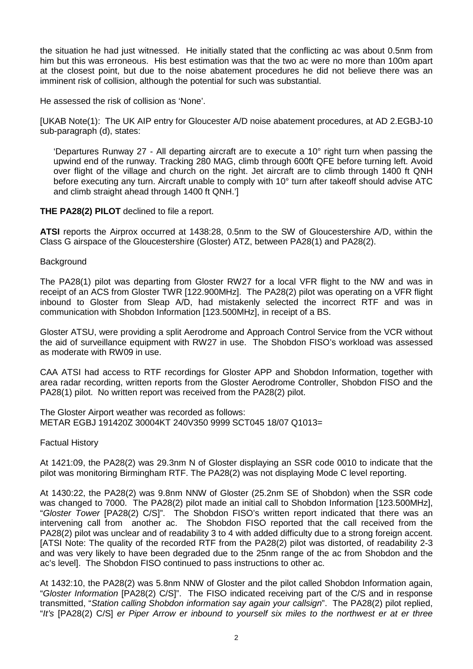the situation he had just witnessed. He initially stated that the conflicting ac was about 0.5nm from him but this was erroneous. His best estimation was that the two ac were no more than 100m apart at the closest point, but due to the noise abatement procedures he did not believe there was an imminent risk of collision, although the potential for such was substantial.

He assessed the risk of collision as 'None'.

[UKAB Note(1): The UK AIP entry for Gloucester A/D noise abatement procedures, at AD 2.EGBJ-10 sub-paragraph (d), states:

'Departures Runway 27 - All departing aircraft are to execute a 10° right turn when passing the upwind end of the runway. Tracking 280 MAG, climb through 600ft QFE before turning left. Avoid over flight of the village and church on the right. Jet aircraft are to climb through 1400 ft QNH before executing any turn. Aircraft unable to comply with 10° turn after takeoff should advise ATC and climb straight ahead through 1400 ft QNH.']

**THE PA28(2) PILOT** declined to file a report.

**ATSI** reports the Airprox occurred at 1438:28, 0.5nm to the SW of Gloucestershire A/D, within the Class G airspace of the Gloucestershire (Gloster) ATZ, between PA28(1) and PA28(2).

### Background

The PA28(1) pilot was departing from Gloster RW27 for a local VFR flight to the NW and was in receipt of an ACS from Gloster TWR [122.900MHz]. The PA28(2) pilot was operating on a VFR flight inbound to Gloster from Sleap A/D, had mistakenly selected the incorrect RTF and was in communication with Shobdon Information [123.500MHz], in receipt of a BS.

Gloster ATSU, were providing a split Aerodrome and Approach Control Service from the VCR without the aid of surveillance equipment with RW27 in use. The Shobdon FISO's workload was assessed as moderate with RW09 in use.

CAA ATSI had access to RTF recordings for Gloster APP and Shobdon Information, together with area radar recording, written reports from the Gloster Aerodrome Controller, Shobdon FISO and the PA28(1) pilot. No written report was received from the PA28(2) pilot.

The Gloster Airport weather was recorded as follows: METAR EGBJ 191420Z 30004KT 240V350 9999 SCT045 18/07 Q1013=

Factual History

At 1421:09, the PA28(2) was 29.3nm N of Gloster displaying an SSR code 0010 to indicate that the pilot was monitoring Birmingham RTF. The PA28(2) was not displaying Mode C level reporting.

At 1430:22, the PA28(2) was 9.8nm NNW of Gloster (25.2nm SE of Shobdon) when the SSR code was changed to 7000. The PA28(2) pilot made an initial call to Shobdon Information [123.500MHz]. "*Gloster Tower* [PA28(2) C/S]". The Shobdon FISO's written report indicated that there was an intervening call from another ac. The Shobdon FISO reported that the call received from the PA28(2) pilot was unclear and of readability 3 to 4 with added difficulty due to a strong foreign accent. [ATSI Note: The quality of the recorded RTF from the PA28(2) pilot was distorted, of readability 2-3 and was very likely to have been degraded due to the 25nm range of the ac from Shobdon and the ac's level]. The Shobdon FISO continued to pass instructions to other ac.

At 1432:10, the PA28(2) was 5.8nm NNW of Gloster and the pilot called Shobdon Information again, "*Gloster Information* [PA28(2) C/S]". The FISO indicated receiving part of the C/S and in response transmitted, "*Station calling Shobdon information say again your callsign*". The PA28(2) pilot replied, "*It's* [PA28(2) C/S] *er Piper Arrow er inbound to yourself six miles to the northwest er at er three*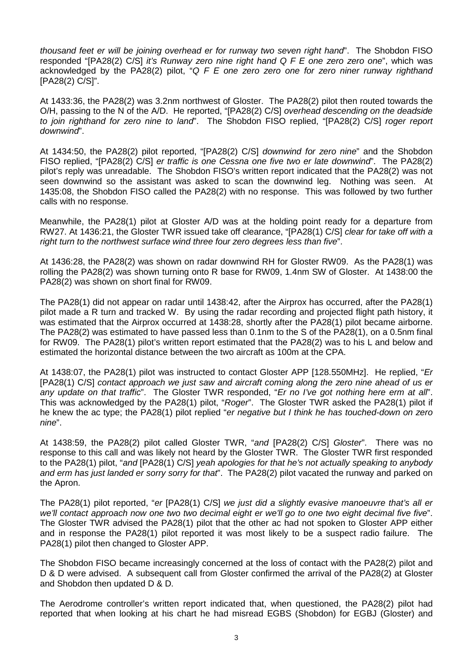*thousand feet er will be joining overhead er for runway two seven right hand*". The Shobdon FISO responded "[PA28(2) C/S] *it's Runway zero nine right hand Q F E one zero zero one*", which was acknowledged by the PA28(2) pilot, "*Q F E one zero zero one for zero niner runway righthand* [PA28(2) C/S]".

At 1433:36, the PA28(2) was 3.2nm northwest of Gloster. The PA28(2) pilot then routed towards the O/H, passing to the N of the A/D. He reported, "[PA28(2) C/S] *overhead descending on the deadside to join righthand for zero nine to land*". The Shobdon FISO replied, "[PA28(2) C/S] *roger report downwind*".

At 1434:50, the PA28(2) pilot reported, "[PA28(2) C/S] *downwind for zero nine*" and the Shobdon FISO replied, "[PA28(2) C/S] *er traffic is one Cessna one five two er late downwind*". The PA28(2) pilot's reply was unreadable. The Shobdon FISO's written report indicated that the PA28(2) was not seen downwind so the assistant was asked to scan the downwind leg. Nothing was seen. At 1435:08, the Shobdon FISO called the PA28(2) with no response. This was followed by two further calls with no response.

Meanwhile, the PA28(1) pilot at Gloster A/D was at the holding point ready for a departure from RW27. At 1436:21, the Gloster TWR issued take off clearance, "[PA28(1) C/S] *clear for take off with a right turn to the northwest surface wind three four zero degrees less than five*".

At 1436:28, the PA28(2) was shown on radar downwind RH for Gloster RW09. As the PA28(1) was rolling the PA28(2) was shown turning onto R base for RW09, 1.4nm SW of Gloster. At 1438:00 the PA28(2) was shown on short final for RW09.

The PA28(1) did not appear on radar until 1438:42, after the Airprox has occurred, after the PA28(1) pilot made a R turn and tracked W. By using the radar recording and projected flight path history, it was estimated that the Airprox occurred at 1438:28, shortly after the PA28(1) pilot became airborne. The PA28(2) was estimated to have passed less than 0.1nm to the S of the PA28(1), on a 0.5nm final for RW09. The PA28(1) pilot's written report estimated that the PA28(2) was to his L and below and estimated the horizontal distance between the two aircraft as 100m at the CPA.

At 1438:07, the PA28(1) pilot was instructed to contact Gloster APP [128.550MHz]. He replied, "*Er* [PA28(1) C/S] *contact approach we just saw and aircraft coming along the zero nine ahead of us er any update on that traffic*". The Gloster TWR responded, "*Er no I've got nothing here erm at all*". This was acknowledged by the PA28(1) pilot, "*Roger*". The Gloster TWR asked the PA28(1) pilot if he knew the ac type; the PA28(1) pilot replied "*er negative but I think he has touched-down on zero nine*".

At 1438:59, the PA28(2) pilot called Gloster TWR, "*and* [PA28(2) C/S] *Gloster*". There was no response to this call and was likely not heard by the Gloster TWR. The Gloster TWR first responded to the PA28(1) pilot, "*and* [PA28(1) C/S] *yeah apologies for that he's not actually speaking to anybody and erm has just landed er sorry sorry for that*". The PA28(2) pilot vacated the runway and parked on the Apron.

The PA28(1) pilot reported, "*er* [PA28(1) C/S] *we just did a slightly evasive manoeuvre that's all er we'll contact approach now one two two decimal eight er we'll go to one two eight decimal five five*". The Gloster TWR advised the PA28(1) pilot that the other ac had not spoken to Gloster APP either and in response the PA28(1) pilot reported it was most likely to be a suspect radio failure. The PA28(1) pilot then changed to Gloster APP.

The Shobdon FISO became increasingly concerned at the loss of contact with the PA28(2) pilot and D & D were advised. A subsequent call from Gloster confirmed the arrival of the PA28(2) at Gloster and Shobdon then updated D & D.

The Aerodrome controller's written report indicated that, when questioned, the PA28(2) pilot had reported that when looking at his chart he had misread EGBS (Shobdon) for EGBJ (Gloster) and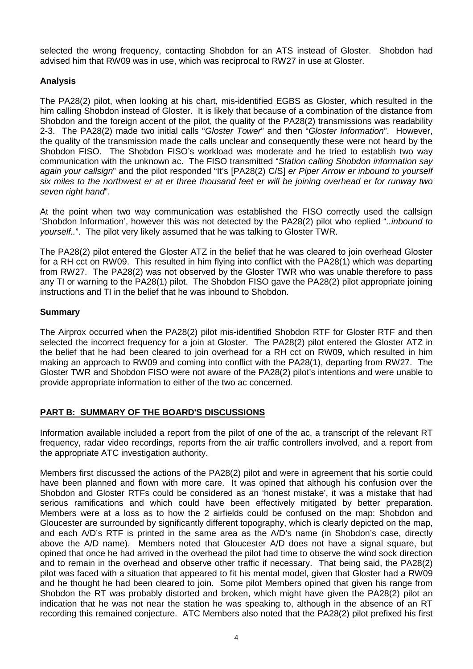selected the wrong frequency, contacting Shobdon for an ATS instead of Gloster. Shobdon had advised him that RW09 was in use, which was reciprocal to RW27 in use at Gloster.

### **Analysis**

The PA28(2) pilot, when looking at his chart, mis-identified EGBS as Gloster, which resulted in the him calling Shobdon instead of Gloster. It is likely that because of a combination of the distance from Shobdon and the foreign accent of the pilot, the quality of the PA28(2) transmissions was readability 2-3. The PA28(2) made two initial calls "*Gloster Tower*" and then "*Gloster Information*". However, the quality of the transmission made the calls unclear and consequently these were not heard by the Shobdon FISO. The Shobdon FISO's workload was moderate and he tried to establish two way communication with the unknown ac. The FISO transmitted "*Station calling Shobdon information say again your callsign*" and the pilot responded "It's [PA28(2) C/S] *er Piper Arrow er inbound to yourself six miles to the northwest er at er three thousand feet er will be joining overhead er for runway two seven right hand*".

At the point when two way communication was established the FISO correctly used the callsign 'Shobdon Information', however this was not detected by the PA28(2) pilot who replied "*..inbound to yourself..*". The pilot very likely assumed that he was talking to Gloster TWR.

The PA28(2) pilot entered the Gloster ATZ in the belief that he was cleared to join overhead Gloster for a RH cct on RW09. This resulted in him flying into conflict with the PA28(1) which was departing from RW27. The PA28(2) was not observed by the Gloster TWR who was unable therefore to pass any TI or warning to the PA28(1) pilot. The Shobdon FISO gave the PA28(2) pilot appropriate joining instructions and TI in the belief that he was inbound to Shobdon.

### **Summary**

The Airprox occurred when the PA28(2) pilot mis-identified Shobdon RTF for Gloster RTF and then selected the incorrect frequency for a join at Gloster. The PA28(2) pilot entered the Gloster ATZ in the belief that he had been cleared to join overhead for a RH cct on RW09, which resulted in him making an approach to RW09 and coming into conflict with the PA28(1), departing from RW27. The Gloster TWR and Shobdon FISO were not aware of the PA28(2) pilot's intentions and were unable to provide appropriate information to either of the two ac concerned.

# **PART B: SUMMARY OF THE BOARD'S DISCUSSIONS**

Information available included a report from the pilot of one of the ac, a transcript of the relevant RT frequency, radar video recordings, reports from the air traffic controllers involved, and a report from the appropriate ATC investigation authority.

Members first discussed the actions of the PA28(2) pilot and were in agreement that his sortie could have been planned and flown with more care. It was opined that although his confusion over the Shobdon and Gloster RTFs could be considered as an 'honest mistake', it was a mistake that had serious ramifications and which could have been effectively mitigated by better preparation. Members were at a loss as to how the 2 airfields could be confused on the map: Shobdon and Gloucester are surrounded by significantly different topography, which is clearly depicted on the map, and each A/D's RTF is printed in the same area as the A/D's name (in Shobdon's case, directly above the A/D name). Members noted that Gloucester A/D does not have a signal square, but opined that once he had arrived in the overhead the pilot had time to observe the wind sock direction and to remain in the overhead and observe other traffic if necessary. That being said, the PA28(2) pilot was faced with a situation that appeared to fit his mental model, given that Gloster had a RW09 and he thought he had been cleared to join. Some pilot Members opined that given his range from Shobdon the RT was probably distorted and broken, which might have given the PA28(2) pilot an indication that he was not near the station he was speaking to, although in the absence of an RT recording this remained conjecture. ATC Members also noted that the PA28(2) pilot prefixed his first